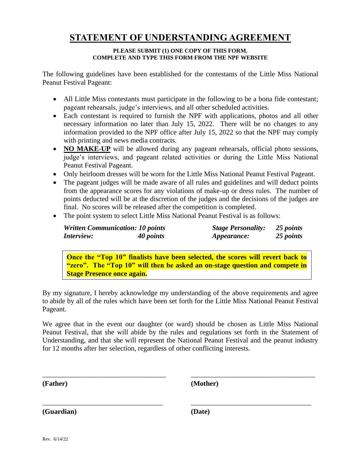# **STATEMENT OF UNDERSTANDING AGREEMENT**

#### **PLEASE SUBMIT (1) ONE COPY OF THIS FORM. COMPLETE AND TYPE THIS FORM FROM THE NPF WEBSITE**

The following guidelines have been established for the contestants of the Little Miss National Peanut Festival Pageant:

- All Little Miss contestants must participate in the following to be a bona fide contestant; pageant rehearsals, judge's interviews, and all other scheduled activities.
- Each contestant is required to furnish the NPF with applications, photos and all other necessary information no later than July 15, 2022. There will be no changes to any information provided to the NPF office after July 15, 2022 so that the NPF may comply with printing and news media contracts.
- **NO MAKE-UP** will be allowed during any pageant rehearsals, official photo sessions, judge's interviews, and pageant related activities or during the Little Miss National Peanut Festival Pageant.
- Only heirloom dresses will be worn for the Little Miss National Peanut Festival Pageant.
- The pageant judges will be made aware of all rules and guidelines and will deduct points from the appearance scores for any violations of make-up or dress rules. The number of points deducted will be at the discretion of the judges and the decisions of the judges are final. No scores will be released after the competition is completed.
- The point system to select Little Miss National Peanut Festival is as follows:

| <b>Written Communication: 10 points</b> |           | <b>Stage Personality:</b> | 25 points |
|-----------------------------------------|-----------|---------------------------|-----------|
| <i>Interview:</i>                       | 40 points | <i>Appearance:</i>        | 25 points |

**Once the "Top 10" finalists have been selected, the scores will revert back to "zero". The "Top 10" will then be asked an on-stage question and compete in Stage Presence once again.**

By my signature, I hereby acknowledge my understanding of the above requirements and agree to abide by all of the rules which have been set forth for the Little Miss National Peanut Festival Pageant.

We agree that in the event our daughter (or ward) should be chosen as Little Miss National Peanut Festival, that she will abide by the rules and regulations set forth in the Statement of Understanding, and that she will represent the National Peanut Festival and the peanut industry for 12 months after her selection, regardless of other conflicting interests.

\_\_\_\_\_\_\_\_\_\_\_\_\_\_\_\_\_\_\_\_\_\_\_\_\_\_\_\_\_\_\_\_\_\_\_ \_\_\_\_\_\_\_\_\_\_\_\_\_\_\_\_\_\_\_\_\_\_\_\_\_\_\_\_\_\_\_\_\_\_\_

\_\_\_\_\_\_\_\_\_\_\_\_\_\_\_\_\_\_\_\_\_\_\_\_\_\_\_\_\_\_\_\_\_\_ \_\_\_\_\_\_\_\_\_\_\_\_\_\_\_\_\_\_\_\_\_\_\_\_\_\_\_\_\_\_\_\_\_\_

**(Father) (Mother)**

**(Guardian) (Date)**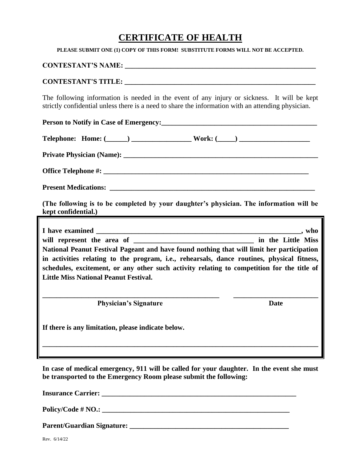## **CERTIFICATE OF HEALTH**

#### **PLEASE SUBMIT ONE (1) COPY OF THIS FORM! SUBSTITUTE FORMS WILL NOT BE ACCEPTED.**

#### **CONTESTANT'S NAME:**

#### **CONTESTANT'S TITLE: \_\_\_\_\_\_\_\_\_\_\_\_\_\_\_\_\_\_\_\_\_\_\_\_\_\_\_\_\_\_\_\_\_\_\_\_\_\_\_\_\_\_\_\_\_\_\_\_\_\_\_\_\_\_**

The following information is needed in the event of any injury or sickness. It will be kept strictly confidential unless there is a need to share the information with an attending physician.

**Person to Notify in Case of Emergency:\_\_\_\_\_\_\_\_\_\_\_\_\_\_\_\_\_\_\_\_\_\_\_\_\_\_\_\_\_\_\_\_\_\_\_\_\_\_\_\_\_\_\_\_**

Telephone: Home: (\_\_\_\_\_) \_\_\_\_\_\_\_\_\_\_\_\_\_\_\_\_\_ Work: (\_\_\_\_) \_\_\_\_\_\_\_\_\_\_\_\_\_\_\_\_\_\_\_\_\_\_\_\_\_

**Private Physician (Name): \_\_\_\_\_\_\_\_\_\_\_\_\_\_\_\_\_\_\_\_\_\_\_\_\_\_\_\_\_\_\_\_\_\_\_\_\_\_\_\_\_\_\_\_\_\_\_\_\_\_\_\_\_\_\_**

**Office Telephone #: \_\_\_\_\_\_\_\_\_\_\_\_\_\_\_\_\_\_\_\_\_\_\_\_\_\_\_\_\_\_\_\_\_\_\_\_\_\_\_\_\_\_\_\_\_\_\_\_\_\_\_\_\_\_\_\_\_\_**

**Present Medications: \_\_\_\_\_\_\_\_\_\_\_\_\_\_\_\_\_\_\_\_\_\_\_\_\_\_\_\_\_\_\_\_\_\_\_\_\_\_\_\_\_\_\_\_\_\_\_\_\_\_\_\_\_\_\_\_\_\_**

**(The following is to be completed by your daughter's physician. The information will be kept confidential.)**

| I have examined                                                                            |  | who                |
|--------------------------------------------------------------------------------------------|--|--------------------|
| will represent the area of                                                                 |  | in the Little Miss |
| National Peanut Festival Pageant and have found nothing that will limit her participation  |  |                    |
| in activities relating to the program, i.e., rehearsals, dance routines, physical fitness, |  |                    |
| schedules, excitement, or any other such activity relating to competition for the title of |  |                    |
| <b>Little Miss National Peanut Festival.</b>                                               |  |                    |

**\_\_\_\_\_\_\_\_\_\_\_\_\_\_\_\_\_\_\_\_\_\_\_\_\_\_\_\_\_\_\_\_\_\_\_\_\_\_\_\_\_\_\_\_\_\_\_\_\_\_ \_\_\_\_\_\_\_\_\_\_\_\_\_\_\_\_\_\_\_\_\_\_\_\_**

**Physician's Signature Date** 

**If there is any limitation, please indicate below.**

**In case of medical emergency, 911 will be called for your daughter. In the event she must be transported to the Emergency Room please submit the following:**

**\_\_\_\_\_\_\_\_\_\_\_\_\_\_\_\_\_\_\_\_\_\_\_\_\_\_\_\_\_\_\_\_\_\_\_\_\_\_\_\_\_\_\_\_\_\_\_\_\_\_\_\_\_\_\_\_\_\_\_\_\_\_\_\_\_\_\_\_\_\_\_\_\_\_\_\_\_\_**

**Insurance Carrier:**  $\blacksquare$ 

**Policy/Code # NO.:**  $\blacksquare$ 

Parent/Guardian Signature:

Rev. 6/14/22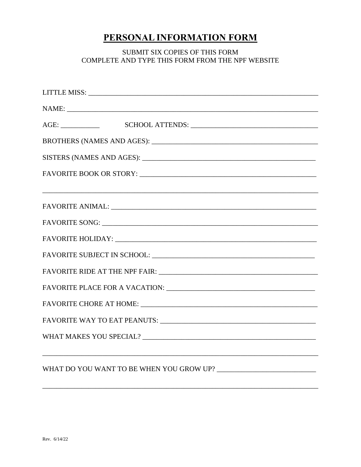# PERSONAL INFORMATION FORM

### SUBMIT SIX COPIES OF THIS FORM COMPLETE AND TYPE THIS FORM FROM THE NPF WEBSITE

|  | FAVORITE HOLIDAY: New York State And The Management Control of the Management Control of the Management Control of the Management Control of the Management Control of the Management Control of the Management Control of the |  |  |  |
|--|--------------------------------------------------------------------------------------------------------------------------------------------------------------------------------------------------------------------------------|--|--|--|
|  |                                                                                                                                                                                                                                |  |  |  |
|  |                                                                                                                                                                                                                                |  |  |  |
|  |                                                                                                                                                                                                                                |  |  |  |
|  |                                                                                                                                                                                                                                |  |  |  |
|  |                                                                                                                                                                                                                                |  |  |  |
|  |                                                                                                                                                                                                                                |  |  |  |
|  |                                                                                                                                                                                                                                |  |  |  |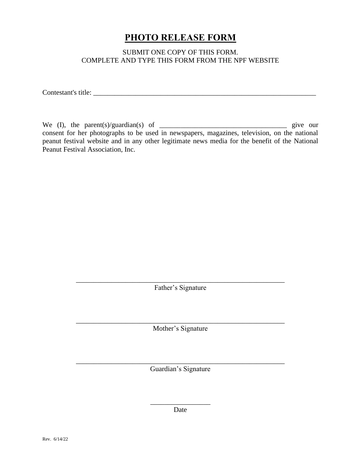## **PHOTO RELEASE FORM**

### SUBMIT ONE COPY OF THIS FORM. COMPLETE AND TYPE THIS FORM FROM THE NPF WEBSITE

Contestant's title: \_\_\_\_\_\_\_\_\_\_\_\_\_\_\_\_\_\_\_\_\_\_\_\_\_\_\_\_\_\_\_\_\_\_\_\_\_\_\_\_\_\_\_\_\_\_\_\_\_\_\_\_\_\_\_\_\_\_\_\_\_\_\_

We (I), the parent(s)/guardian(s) of  $\qquad$ consent for her photographs to be used in newspapers, magazines, television, on the national peanut festival website and in any other legitimate news media for the benefit of the National Peanut Festival Association, Inc.

> \_\_\_\_\_\_\_\_\_\_\_\_\_\_\_\_\_\_\_\_\_\_\_\_\_\_\_\_\_\_\_\_\_\_\_\_\_\_\_\_\_\_\_\_\_\_\_\_\_\_\_\_\_\_\_\_\_\_\_ Father's Signature

> \_\_\_\_\_\_\_\_\_\_\_\_\_\_\_\_\_\_\_\_\_\_\_\_\_\_\_\_\_\_\_\_\_\_\_\_\_\_\_\_\_\_\_\_\_\_\_\_\_\_\_\_\_\_\_\_\_\_\_ Mother's Signature

> \_\_\_\_\_\_\_\_\_\_\_\_\_\_\_\_\_\_\_\_\_\_\_\_\_\_\_\_\_\_\_\_\_\_\_\_\_\_\_\_\_\_\_\_\_\_\_\_\_\_\_\_\_\_\_\_\_\_\_ Guardian's Signature

> > \_\_\_\_\_\_\_\_\_\_\_\_\_\_\_\_\_ Date